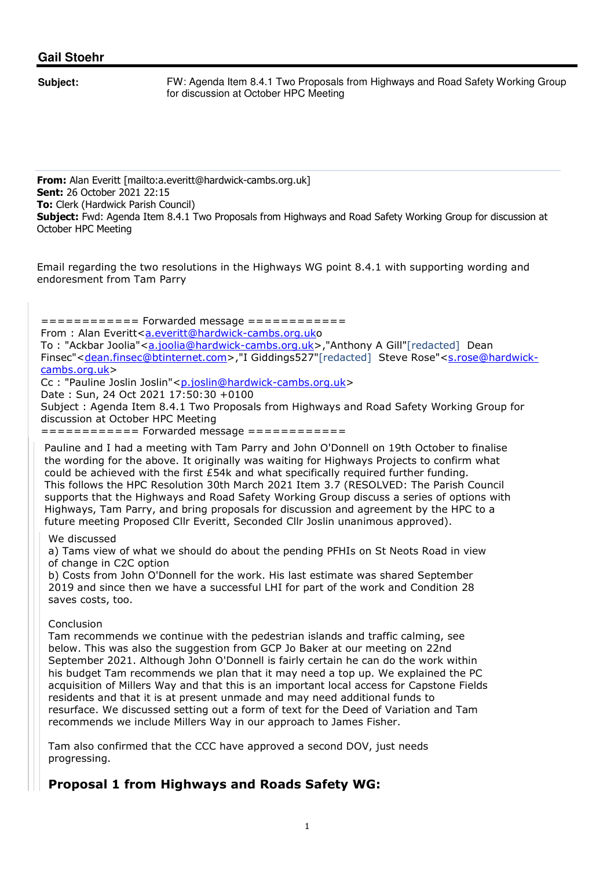## **Gail Stoehr**

**Subject:** FW: Agenda Item 8.4.1 Two Proposals from Highways and Road Safety Working Group for discussion at October HPC Meeting

**From:** Alan Everitt [mailto:a.everitt@hardwick-cambs.org.uk] **Sent:** 26 October 2021 22:15 **To:** Clerk (Hardwick Parish Council) **Subject:** Fwd: Agenda Item 8.4.1 Two Proposals from Highways and Road Safety Working Group for discussion at October HPC Meeting

Email regarding the two resolutions in the Highways WG point 8.4.1 with supporting wording and endoresment from Tam Parry

============ Forwarded message ============ From : Alan Everitt<a.everitt@hardwick-cambs.org.uko To : "Ackbar Joolia"<a.joolia@hardwick-cambs.org.uk>,"Anthony A Gill"[redacted] Dean Finsec"<dean.finsec@btinternet.com>,"I Giddings527"[redacted] Steve Rose"<s.rose@hardwickcambs.org.uk> Cc : "Pauline Joslin Joslin"<p.joslin@hardwick-cambs.org.uk> Date : Sun, 24 Oct 2021 17:50:30 +0100 Subject : Agenda Item 8.4.1 Two Proposals from Highways and Road Safety Working Group for discussion at October HPC Meeting ============ Forwarded message ============

Pauline and I had a meeting with Tam Parry and John O'Donnell on 19th October to finalise the wording for the above. It originally was waiting for Highways Projects to confirm what could be achieved with the first £54k and what specifically required further funding. This follows the HPC Resolution 30th March 2021 Item 3.7 (RESOLVED: The Parish Council supports that the Highways and Road Safety Working Group discuss a series of options with Highways, Tam Parry, and bring proposals for discussion and agreement by the HPC to a future meeting Proposed Cllr Everitt, Seconded Cllr Joslin unanimous approved).

We discussed

a) Tams view of what we should do about the pending PFHIs on St Neots Road in view of change in C2C option

b) Costs from John O'Donnell for the work. His last estimate was shared September 2019 and since then we have a successful LHI for part of the work and Condition 28 saves costs, too.

## **Conclusion**

Tam recommends we continue with the pedestrian islands and traffic calming, see below. This was also the suggestion from GCP Jo Baker at our meeting on 22nd September 2021. Although John O'Donnell is fairly certain he can do the work within his budget Tam recommends we plan that it may need a top up. We explained the PC acquisition of Millers Way and that this is an important local access for Capstone Fields residents and that it is at present unmade and may need additional funds to resurface. We discussed setting out a form of text for the Deed of Variation and Tam recommends we include Millers Way in our approach to James Fisher.

Tam also confirmed that the CCC have approved a second DOV, just needs progressing.

## **Proposal 1 from Highways and Roads Safety WG:**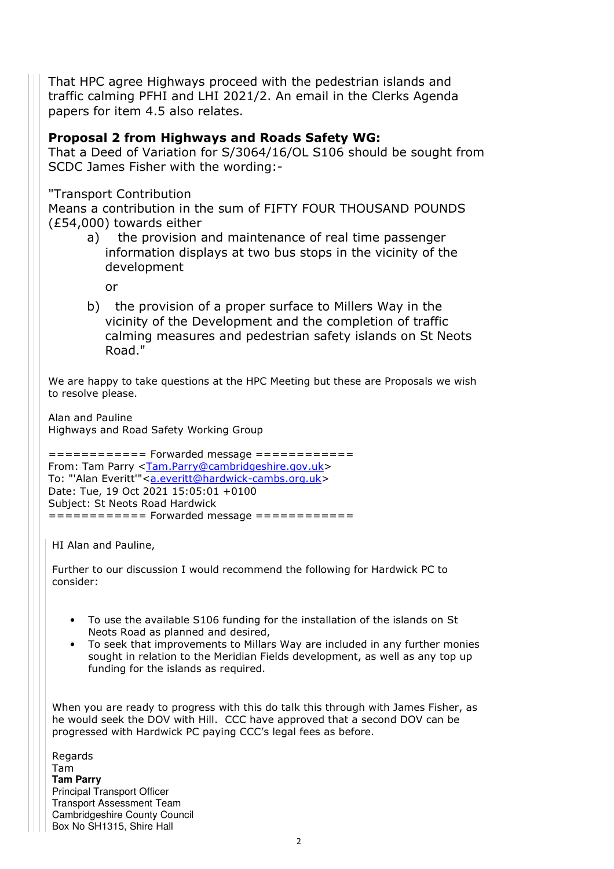That HPC agree Highways proceed with the pedestrian islands and traffic calming PFHI and LHI 2021/2. An email in the Clerks Agenda papers for item 4.5 also relates.

## **Proposal 2 from Highways and Roads Safety WG:**

That a Deed of Variation for S/3064/16/OL S106 should be sought from SCDC James Fisher with the wording:-

"Transport Contribution

Means a contribution in the sum of FIFTY FOUR THOUSAND POUNDS (£54,000) towards either

a) the provision and maintenance of real time passenger information displays at two bus stops in the vicinity of the development

or

b) the provision of a proper surface to Millers Way in the vicinity of the Development and the completion of traffic calming measures and pedestrian safety islands on St Neots Road."

We are happy to take questions at the HPC Meeting but these are Proposals we wish to resolve please.

Alan and Pauline Highways and Road Safety Working Group

============ Forwarded message ============ From: Tam Parry <Tam.Parry@cambridgeshire.gov.uk> To: "'Alan Everitt'"<a.everitt@hardwick-cambs.org.uk> Date: Tue, 19 Oct 2021 15:05:01 +0100 Subject: St Neots Road Hardwick ============ Forwarded message ============

HI Alan and Pauline,

Further to our discussion I would recommend the following for Hardwick PC to consider:

- To use the available S106 funding for the installation of the islands on St Neots Road as planned and desired,
- To seek that improvements to Millars Way are included in any further monies sought in relation to the Meridian Fields development, as well as any top up funding for the islands as required.

When you are ready to progress with this do talk this through with James Fisher, as he would seek the DOV with Hill. CCC have approved that a second DOV can be progressed with Hardwick PC paying CCC's legal fees as before.

Regards Tam **Tam Parry** Principal Transport Officer Transport Assessment Team Cambridgeshire County Council Box No SH1315, Shire Hall